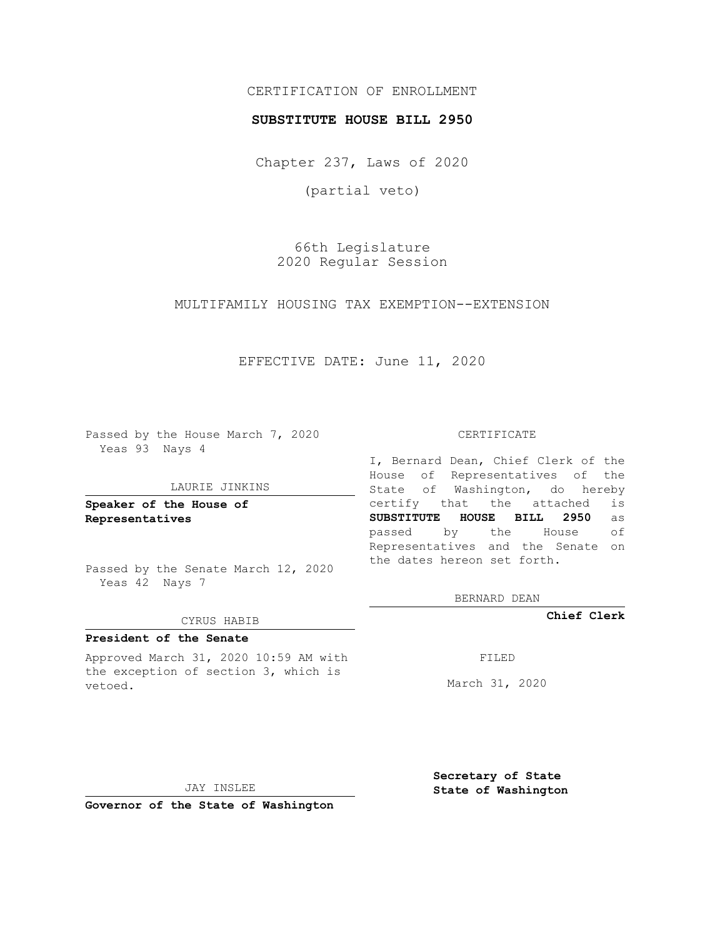# CERTIFICATION OF ENROLLMENT

### **SUBSTITUTE HOUSE BILL 2950**

Chapter 237, Laws of 2020

(partial veto)

66th Legislature 2020 Regular Session

MULTIFAMILY HOUSING TAX EXEMPTION--EXTENSION

# EFFECTIVE DATE: June 11, 2020

Passed by the House March 7, 2020 Yeas 93 Nays 4

#### LAURIE JINKINS

**Speaker of the House of Representatives**

Passed by the Senate March 12, 2020 Yeas 42 Nays 7

#### CYRUS HABIB

# **President of the Senate**

Approved March 31, 2020 10:59 AM with the exception of section 3, which is vetoed.

#### CERTIFICATE

I, Bernard Dean, Chief Clerk of the House of Representatives of the State of Washington, do hereby certify that the attached is **SUBSTITUTE HOUSE BILL 2950** as passed by the House of Representatives and the Senate on the dates hereon set forth.

BERNARD DEAN

**Chief Clerk**

FILED

March 31, 2020

JAY INSLEE

**Governor of the State of Washington**

**Secretary of State State of Washington**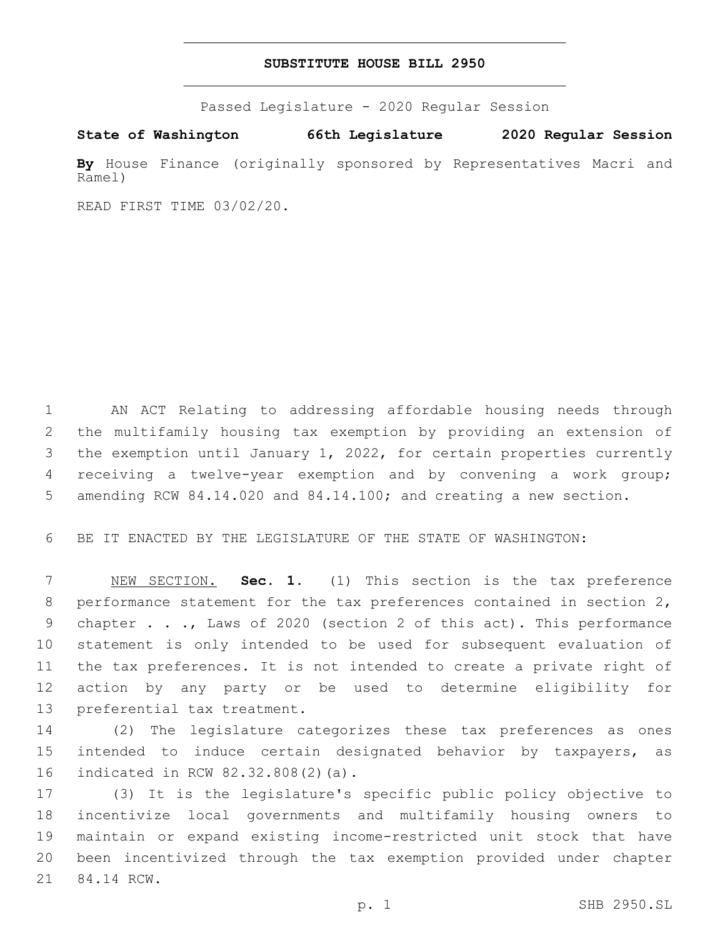## **SUBSTITUTE HOUSE BILL 2950**

Passed Legislature - 2020 Regular Session

**State of Washington 66th Legislature 2020 Regular Session**

**By** House Finance (originally sponsored by Representatives Macri and Ramel)

READ FIRST TIME 03/02/20.

 AN ACT Relating to addressing affordable housing needs through the multifamily housing tax exemption by providing an extension of the exemption until January 1, 2022, for certain properties currently receiving a twelve-year exemption and by convening a work group; 5 amending RCW 84.14.020 and 84.14.100; and creating a new section.

BE IT ENACTED BY THE LEGISLATURE OF THE STATE OF WASHINGTON:

 NEW SECTION. **Sec. 1.** (1) This section is the tax preference performance statement for the tax preferences contained in section 2, chapter . . ., Laws of 2020 (section 2 of this act). This performance statement is only intended to be used for subsequent evaluation of the tax preferences. It is not intended to create a private right of action by any party or be used to determine eligibility for preferential tax treatment.

 (2) The legislature categorizes these tax preferences as ones intended to induce certain designated behavior by taxpayers, as 16 indicated in RCW 82.32.808(2)(a).

 (3) It is the legislature's specific public policy objective to incentivize local governments and multifamily housing owners to maintain or expand existing income-restricted unit stock that have been incentivized through the tax exemption provided under chapter 21 84.14 RCW.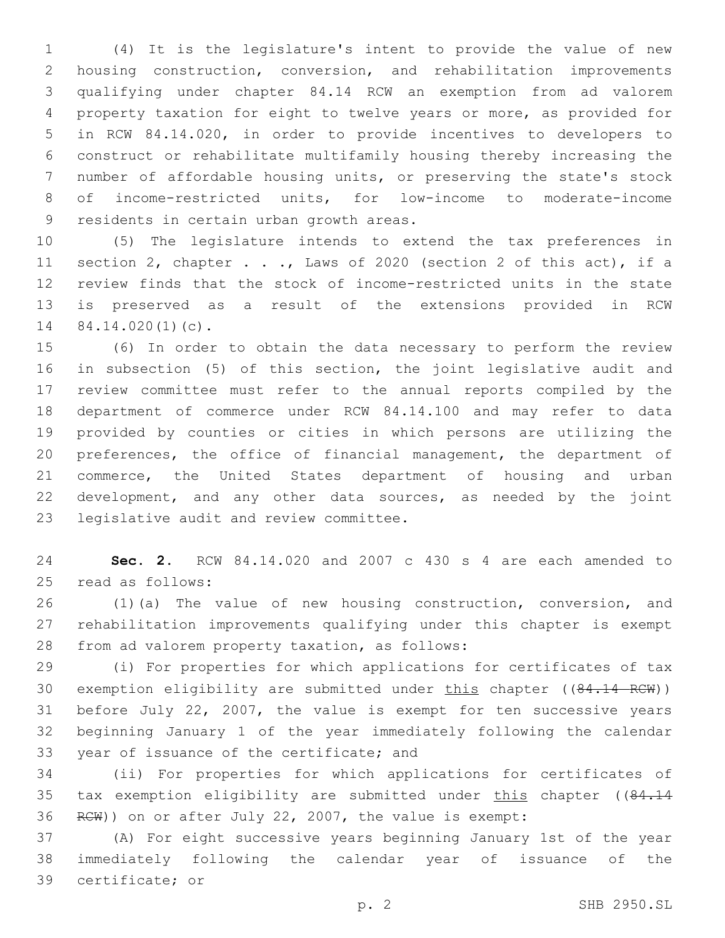(4) It is the legislature's intent to provide the value of new housing construction, conversion, and rehabilitation improvements qualifying under chapter 84.14 RCW an exemption from ad valorem property taxation for eight to twelve years or more, as provided for in RCW 84.14.020, in order to provide incentives to developers to construct or rehabilitate multifamily housing thereby increasing the number of affordable housing units, or preserving the state's stock of income-restricted units, for low-income to moderate-income 9 residents in certain urban growth areas.

 (5) The legislature intends to extend the tax preferences in section 2, chapter . . ., Laws of 2020 (section 2 of this act), if a review finds that the stock of income-restricted units in the state is preserved as a result of the extensions provided in RCW  $84.14.020(1)(c)$ .

 (6) In order to obtain the data necessary to perform the review in subsection (5) of this section, the joint legislative audit and review committee must refer to the annual reports compiled by the department of commerce under RCW 84.14.100 and may refer to data provided by counties or cities in which persons are utilizing the preferences, the office of financial management, the department of commerce, the United States department of housing and urban development, and any other data sources, as needed by the joint 23 legislative audit and review committee.

 **Sec. 2.** RCW 84.14.020 and 2007 c 430 s 4 are each amended to 25 read as follows:

 (1)(a) The value of new housing construction, conversion, and rehabilitation improvements qualifying under this chapter is exempt 28 from ad valorem property taxation, as follows:

 (i) For properties for which applications for certificates of tax 30 exemption eligibility are submitted under this chapter ((84.14 RCW)) before July 22, 2007, the value is exempt for ten successive years beginning January 1 of the year immediately following the calendar 33 year of issuance of the certificate; and

 (ii) For properties for which applications for certificates of 35 tax exemption eligibility are submitted under this chapter ((84.14 RCW)) on or after July 22, 2007, the value is exempt:

 (A) For eight successive years beginning January 1st of the year immediately following the calendar year of issuance of the 39 certificate; or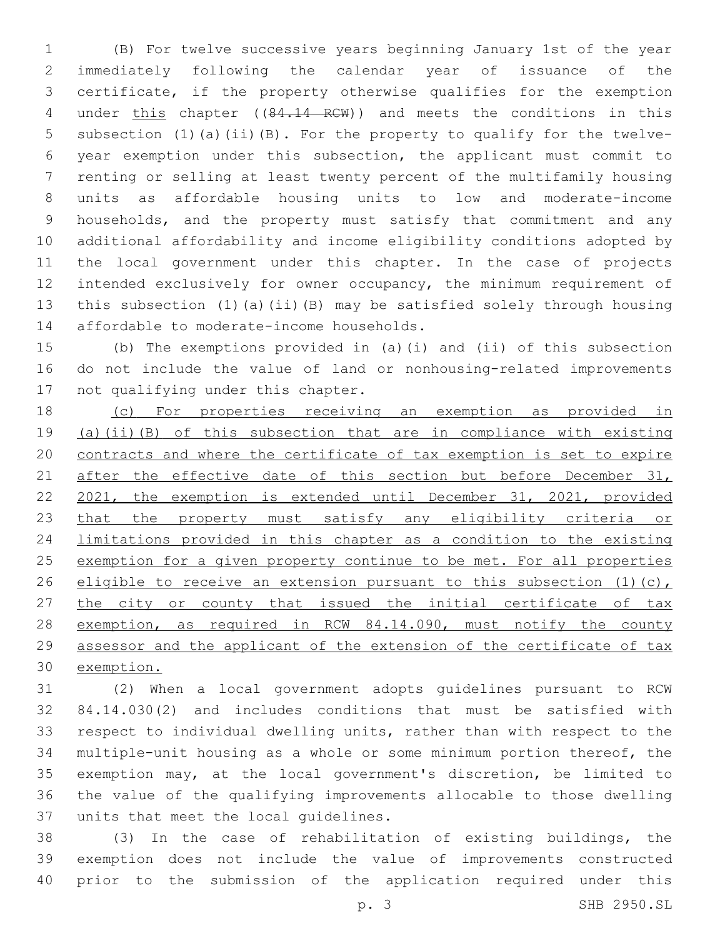(B) For twelve successive years beginning January 1st of the year immediately following the calendar year of issuance of the certificate, if the property otherwise qualifies for the exemption 4 under this chapter ((84.14 RCW)) and meets the conditions in this subsection (1)(a)(ii)(B). For the property to qualify for the twelve- year exemption under this subsection, the applicant must commit to renting or selling at least twenty percent of the multifamily housing units as affordable housing units to low and moderate-income households, and the property must satisfy that commitment and any additional affordability and income eligibility conditions adopted by the local government under this chapter. In the case of projects intended exclusively for owner occupancy, the minimum requirement of this subsection (1)(a)(ii)(B) may be satisfied solely through housing 14 affordable to moderate-income households.

 (b) The exemptions provided in (a)(i) and (ii) of this subsection do not include the value of land or nonhousing-related improvements 17 not qualifying under this chapter.

 (c) For properties receiving an exemption as provided in (a)(ii)(B) of this subsection that are in compliance with existing contracts and where the certificate of tax exemption is set to expire 21 after the effective date of this section but before December 31, 2021, the exemption is extended until December 31, 2021, provided 23 that the property must satisfy any eligibility criteria or limitations provided in this chapter as a condition to the existing exemption for a given property continue to be met. For all properties 26 eligible to receive an extension pursuant to this subsection  $(1)(c)$ , 27 the city or county that issued the initial certificate of tax 28 exemption, as required in RCW 84.14.090, must notify the county assessor and the applicant of the extension of the certificate of tax exemption.

 (2) When a local government adopts guidelines pursuant to RCW 84.14.030(2) and includes conditions that must be satisfied with respect to individual dwelling units, rather than with respect to the multiple-unit housing as a whole or some minimum portion thereof, the exemption may, at the local government's discretion, be limited to the value of the qualifying improvements allocable to those dwelling 37 units that meet the local quidelines.

 (3) In the case of rehabilitation of existing buildings, the exemption does not include the value of improvements constructed prior to the submission of the application required under this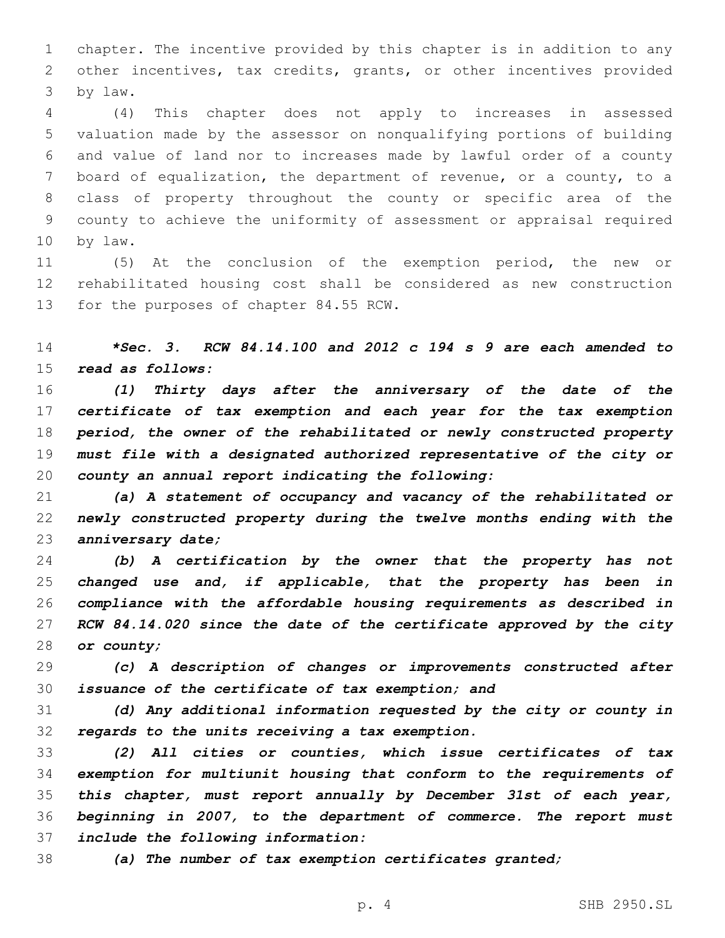chapter. The incentive provided by this chapter is in addition to any other incentives, tax credits, grants, or other incentives provided by law.3

 (4) This chapter does not apply to increases in assessed valuation made by the assessor on nonqualifying portions of building and value of land nor to increases made by lawful order of a county board of equalization, the department of revenue, or a county, to a class of property throughout the county or specific area of the county to achieve the uniformity of assessment or appraisal required 10 by law.

 (5) At the conclusion of the exemption period, the new or rehabilitated housing cost shall be considered as new construction 13 for the purposes of chapter 84.55 RCW.

 *\*Sec. 3. RCW 84.14.100 and 2012 c 194 s 9 are each amended to read as follows:*

 *(1) Thirty days after the anniversary of the date of the certificate of tax exemption and each year for the tax exemption period, the owner of the rehabilitated or newly constructed property must file with a designated authorized representative of the city or county an annual report indicating the following:*

 *(a) A statement of occupancy and vacancy of the rehabilitated or newly constructed property during the twelve months ending with the anniversary date;*

 *(b) A certification by the owner that the property has not changed use and, if applicable, that the property has been in compliance with the affordable housing requirements as described in RCW 84.14.020 since the date of the certificate approved by the city or county;*

 *(c) A description of changes or improvements constructed after issuance of the certificate of tax exemption; and*

 *(d) Any additional information requested by the city or county in regards to the units receiving a tax exemption.*

 *(2) All cities or counties, which issue certificates of tax exemption for multiunit housing that conform to the requirements of this chapter, must report annually by December 31st of each year, beginning in 2007, to the department of commerce. The report must include the following information:*

*(a) The number of tax exemption certificates granted;*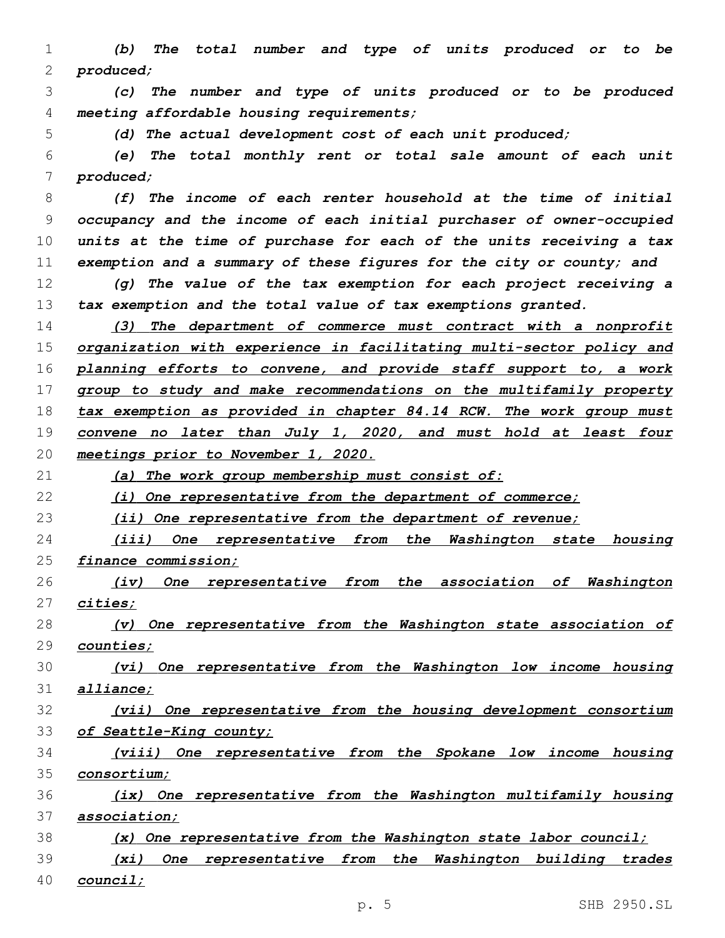*(b) The total number and type of units produced or to be produced;*

 *(c) The number and type of units produced or to be produced meeting affordable housing requirements;*

*(d) The actual development cost of each unit produced;*

 *(e) The total monthly rent or total sale amount of each unit produced;*

 *(f) The income of each renter household at the time of initial occupancy and the income of each initial purchaser of owner-occupied units at the time of purchase for each of the units receiving a tax exemption and a summary of these figures for the city or county; and*

 *(g) The value of the tax exemption for each project receiving a tax exemption and the total value of tax exemptions granted.*

 *(3) The department of commerce must contract with a nonprofit organization with experience in facilitating multi-sector policy and planning efforts to convene, and provide staff support to, a work group to study and make recommendations on the multifamily property tax exemption as provided in chapter 84.14 RCW. The work group must convene no later than July 1, 2020, and must hold at least four meetings prior to November 1, 2020.*

*(a) The work group membership must consist of:*

*(i) One representative from the department of commerce;*

*(ii) One representative from the department of revenue;*

 *(iii) One representative from the Washington state housing finance commission;*

 *(iv) One representative from the association of Washington cities;*

 *(v) One representative from the Washington state association of counties;*

 *(vi) One representative from the Washington low income housing alliance;*

 *(vii) One representative from the housing development consortium of Seattle-King county;*

 *(viii) One representative from the Spokane low income housing consortium;*

 *(ix) One representative from the Washington multifamily housing association;*

*(x) One representative from the Washington state labor council;*

 *(xi) One representative from the Washington building trades council;*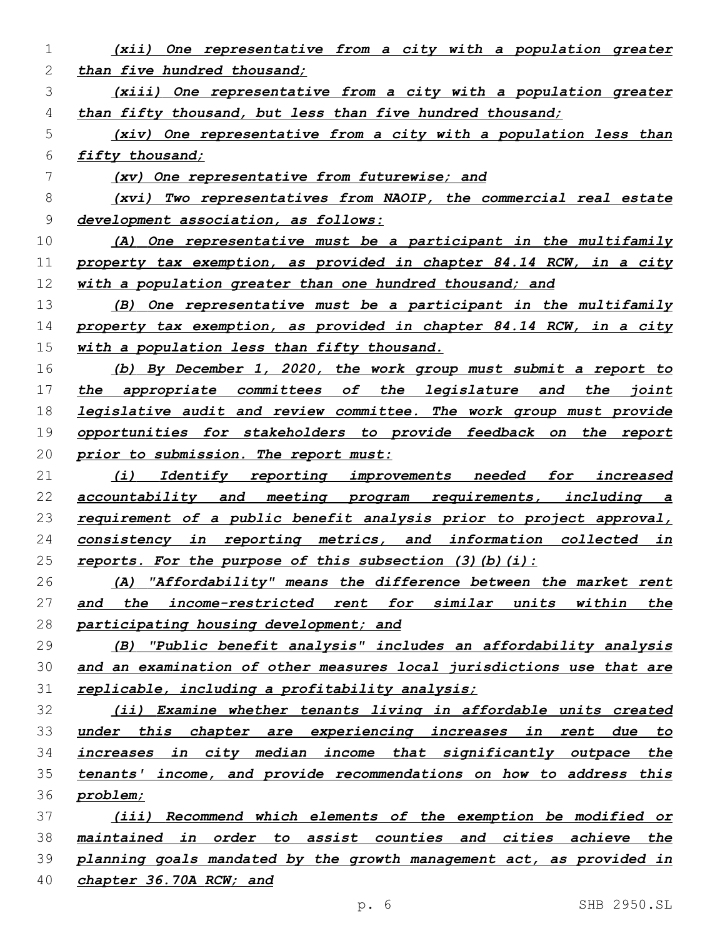*than five hundred thousand; (xiii) One representative from a city with a population greater than fifty thousand, but less than five hundred thousand; (xiv) One representative from a city with a population less than fifty thousand; (xv) One representative from futurewise; and (xvi) Two representatives from NAOIP, the commercial real estate development association, as follows: (A) One representative must be a participant in the multifamily property tax exemption, as provided in chapter 84.14 RCW, in a city with a population greater than one hundred thousand; and (B) One representative must be a participant in the multifamily property tax exemption, as provided in chapter 84.14 RCW, in a city with a population less than fifty thousand. (b) By December 1, 2020, the work group must submit a report to the appropriate committees of the legislature and the joint legislative audit and review committee. The work group must provide opportunities for stakeholders to provide feedback on the report prior to submission. The report must: (i) Identify reporting improvements needed for increased accountability and meeting program requirements, including a requirement of a public benefit analysis prior to project approval, consistency in reporting metrics, and information collected in reports. For the purpose of this subsection (3)(b)(i): (A) "Affordability" means the difference between the market rent and the income-restricted rent for similar units within the participating housing development; and (B) "Public benefit analysis" includes an affordability analysis and an examination of other measures local jurisdictions use that are replicable, including a profitability analysis; (ii) Examine whether tenants living in affordable units created under this chapter are experiencing increases in rent due to increases in city median income that significantly outpace the tenants' income, and provide recommendations on how to address this problem; (iii) Recommend which elements of the exemption be modified or maintained in order to assist counties and cities achieve the planning goals mandated by the growth management act, as provided in chapter 36.70A RCW; and*

*(xii) One representative from a city with a population greater*